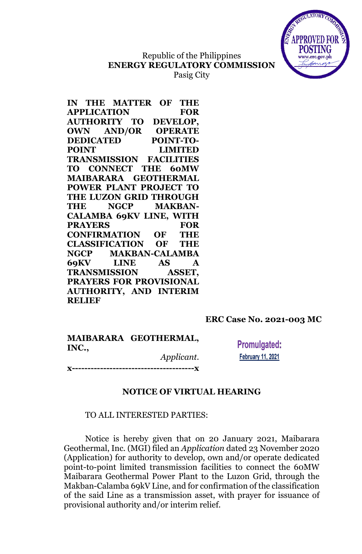

### Republic of the Philippines **ENERGY REGULATORY COMMISSION** Pasig City

|                    | IN THE MATTER OF THE           |                  |                |
|--------------------|--------------------------------|------------------|----------------|
| <b>APPLICATION</b> |                                |                  | <b>FOR</b>     |
|                    | <b>AUTHORITY TO</b>            | DEVELOP,         |                |
|                    | <b>OWN AND/OR</b>              |                  | <b>OPERATE</b> |
| <b>DEDICATED</b>   | $\overline{a}$                 | <b>POINT-TO-</b> |                |
| <b>POINT</b>       |                                |                  | <b>LIMITED</b> |
|                    | <b>TRANSMISSION FACILITIES</b> |                  |                |
|                    | TO CONNECT THE 60MW            |                  |                |
|                    | MAIBARARA GEOTHERMAL           |                  |                |
|                    | <b>POWER PLANT PROJECT TO</b>  |                  |                |
|                    | THE LUZON GRID THROUGH         |                  |                |
|                    | THE NGCP MAKBAN-               |                  |                |
|                    | <b>CALAMBA 69KV LINE, WITH</b> |                  |                |
| <b>PRAYERS</b>     |                                |                  | <b>FOR</b>     |
|                    | <b>CONFIRMATION OF THE</b>     |                  |                |
|                    | <b>CLASSIFICATION OF THE</b>   |                  |                |
|                    | NGCP MAKBAN-CALAMBA            |                  |                |
|                    | 69KV LINE AS A                 |                  |                |
|                    | TRANSMISSION ASSET,            |                  |                |
|                    | <b>PRAYERS FOR PROVISIONAL</b> |                  |                |
|                    | <b>AUTHORITY, AND INTERIM</b>  |                  |                |
| <b>RELIEF</b>      |                                |                  |                |

## **ERC Case No. 2021-003 MC**

|       | MAIBARARA GEOTHERMAL, |
|-------|-----------------------|
| INC., |                       |
|       | Applicant.            |
|       |                       |

**Promulgated: February 11, 2021** 

### **NOTICE OF VIRTUAL HEARING**

### TO ALL INTERESTED PARTIES:

Notice is hereby given that on 20 January 2021, Maibarara Geothermal, Inc. (MGI) filed an *Application* dated 23 November 2020 (Application) for authority to develop, own and/or operate dedicated point-to-point limited transmission facilities to connect the 60MW Maibarara Geothermal Power Plant to the Luzon Grid, through the Makban-Calamba 69kV Line, and for confirmation of the classification of the said Line as a transmission asset, with prayer for issuance of provisional authority and/or interim relief.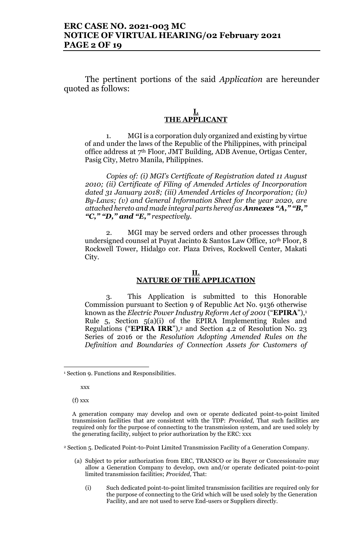### **ERC CASE NO. 2021-003 MC NOTICE OF VIRTUAL HEARING/02 February 2021 PAGE 2 OF 19**

The pertinent portions of the said *Application* are hereunder quoted as follows:

### **I. THE APPLICANT**

1. MGI is a corporation duly organized and existing by virtue of and under the laws of the Republic of the Philippines, with principal office address at 7th Floor, JMT Building, ADB Avenue, Ortigas Center, Pasig City, Metro Manila, Philippines.

*Copies of: (i) MGI's Certificate of Registration dated 11 August 2010; (ii) Certificate of Filing of Amended Articles of Incorporation dated 31 January 2018; (iii) Amended Articles of Incorporation; (iv) By-Laws; (v) and General Information Sheet for the year 2020, are attached hereto and made integral parts hereof as Annexes "A," "B," "C," "D," and "E," respectively.* 

2. MGI may be served orders and other processes through undersigned counsel at Puyat Jacinto & Santos Law Office, 10th Floor, 8 Rockwell Tower, Hidalgo cor. Plaza Drives, Rockwell Center, Makati City.

#### **II. NATURE OF THE APPLICATION**

3. This Application is submitted to this Honorable Commission pursuant to Section 9 of Republic Act No. 9136 otherwise known as the *Electric Power Industry Reform Act of 2001* ("**EPIRA**"),<sup>1</sup> Rule 5, Section 5(a)(i) of the EPIRA Implementing Rules and Regulations ("**EPIRA IRR**"), <sup>2</sup> and Section 4.2 of Resolution No. 23 Series of 2016 or the *Resolution Adopting Amended Rules on the Definition and Boundaries of Connection Assets for Customers of* 

xxx

(f) xxx

 $\overline{a}$ 

<sup>2</sup> Section 5. Dedicated Point-to-Point Limited Transmission Facility of a Generation Company.

- (a) Subject to prior authorization from ERC, TRANSCO or its Buyer or Concessionaire may allow a Generation Company to develop, own and/or operate dedicated point-to-point limited transmission facilities; *Provided,* That:
	- (i) Such dedicated point-to-point limited transmission facilities are required only for the purpose of connecting to the Grid which will be used solely by the Generation Facility, and are not used to serve End-users or Suppliers directly.

<sup>&</sup>lt;sup>1</sup> Section 9. Functions and Responsibilities.

A generation company may develop and own or operate dedicated point-to-point limited transmission facilities that are consistent with the TDP: *Provided,* That such facilities are required only for the purpose of connecting to the transmission system, and are used solely by the generating facility, subject to prior authorization by the ERC: xxx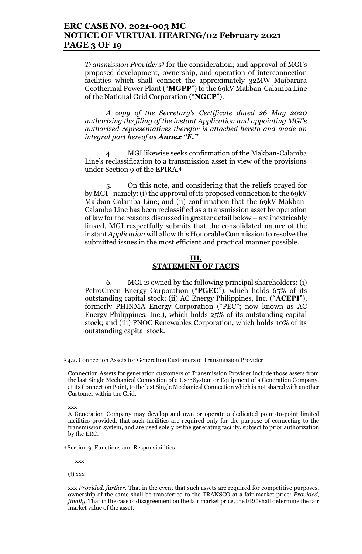### **ERC CASE NO. 2021-003 MC NOTICE OF VIRTUAL HEARING/02 February 2021 PAGE 3 OF 19**

*Transmission Providers<sup>3</sup>* for the consideration; and approval of MGI's proposed development, ownership, and operation of interconnection facilities which shall connect the approximately 32MW Maibarara Geothermal Power Plant ("**MGPP**") to the 69kV Makban-Calamba Line of the National Grid Corporation ("**NGCP**").

*A copy of the Secretary's Certificate dated 26 May 2020 authorizing the filing of the instant Application and appointing MGI's authorized representatives therefor is attached hereto and made an integral part hereof as Annex "F."*

4. MGI likewise seeks confirmation of the Makban-Calamba Line's reclassification to a transmission asset in view of the provisions under Section 9 of the EPIRA.<sup>4</sup>

5. On this note, and considering that the reliefs prayed for by MGI - namely:(i) the approval of its proposed connection to the 69kV Makban-Calamba Line; and (ii) confirmation that the 69kV Makban-Calamba Line has been reclassified as a transmission asset by operation of law for the reasons discussed in greater detail below – are inextricably linked, MGI respectfully submits that the consolidated nature of the instant *Application* will allow this Honorable Commission to resolve the submitted issues in the most efficient and practical manner possible.

### **III. STATEMENT OF FACTS**

6. MGI is owned by the following principal shareholders: (i) PetroGreen Energy Corporation ("**PGEC**"), which holds 65% of its outstanding capital stock; (ii) AC Energy Philippines, Inc. ("**ACEPI**"), formerly PHINMA Energy Corporation ("PEC"; now known as AC Energy Philippines, Inc.), which holds 25% of its outstanding capital stock; and (iii) PNOC Renewables Corporation, which holds 10% of its outstanding capital stock.

xxx

 $\overline{a}$ 

xxx

(f) xxx

<sup>3</sup> 4.2. Connection Assets for Generation Customers of Transmission Provider

Connection Assets for generation customers of Transmission Provider include those assets from the last Single Mechanical Connection of a User System or Equipment of a Generation Company, at its Connection Point, to the last Single Mechanical Connection which is not shared with another Customer within the Grid.

A Generation Company may develop and own or operate a dedicated point-to-point limited facilities provided, that such facilities are required only for the purpose of connecting to the transmission system, and are used solely by the generating facility, subject to prior authorization by the ERC.

<sup>4</sup> Section 9. Functions and Responsibilities.

xxx *Provided, further,* That in the event that such assets are required for competitive purposes, ownership of the same shall be transferred to the TRANSCO at a fair market price: *Provided, finally,* That in the case of disagreement on the fair market price, the ERC shall determine the fair market value of the asset.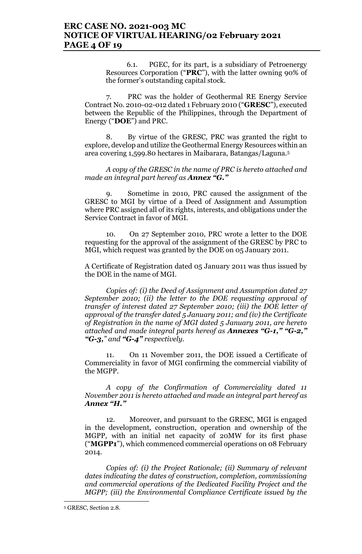### **ERC CASE NO. 2021-003 MC NOTICE OF VIRTUAL HEARING/02 February 2021 PAGE 4 OF 19**

6.1. PGEC, for its part, is a subsidiary of Petroenergy Resources Corporation ("**PRC**"), with the latter owning 90% of the former's outstanding capital stock.

7. PRC was the holder of Geothermal RE Energy Service Contract No. 2010-02-012 dated 1 February 2010 ("**GRESC**"), executed between the Republic of the Philippines, through the Department of Energy ("**DOE**") and PRC.

8. By virtue of the GRESC, PRC was granted the right to explore, develop and utilize the Geothermal Energy Resources within an area covering 1,599.80 hectares in Maibarara, Batangas/Laguna.<sup>5</sup>

*A copy of the GRESC in the name of PRC is hereto attached and made an integral part hereof as Annex "G."*

9. Sometime in 2010, PRC caused the assignment of the GRESC to MGI by virtue of a Deed of Assignment and Assumption where PRC assigned all of its rights, interests, and obligations under the Service Contract in favor of MGI.

10. On 27 September 2010, PRC wrote a letter to the DOE requesting for the approval of the assignment of the GRESC by PRC to MGI, which request was granted by the DOE on 05 January 2011.

A Certificate of Registration dated 05 January 2011 was thus issued by the DOE in the name of MGI.

*Copies of: (i) the Deed of Assignment and Assumption dated 27 September 2010; (ii) the letter to the DOE requesting approval of transfer of interest dated 27 September 2010; (iii) the DOE letter of approval of the transfer dated 5 January 2011; and (iv) the Certificate of Registration in the name of MGI dated 5 January 2011, are hereto attached and made integral parts hereof as Annexes "G-1," "G-2," "G-3," and "G-4" respectively.* 

11. On 11 November 2011, the DOE issued a Certificate of Commerciality in favor of MGI confirming the commercial viability of the MGPP.

*A copy of the Confirmation of Commerciality dated 11 November 2011 is hereto attached and made an integral part hereof as Annex "H."*

12. Moreover, and pursuant to the GRESC, MGI is engaged in the development, construction, operation and ownership of the MGPP, with an initial net capacity of 20MW for its first phase ("**MGPP1**"), which commenced commercial operations on 08 February 2014.

*Copies of: (i) the Project Rationale; (ii) Summary of relevant dates indicating the dates of construction, completion, commissioning and commercial operations of the Dedicated Facility Project and the MGPP; (iii) the Environmental Compliance Certificate issued by the* 

<sup>5</sup> GRESC, Section 2.8.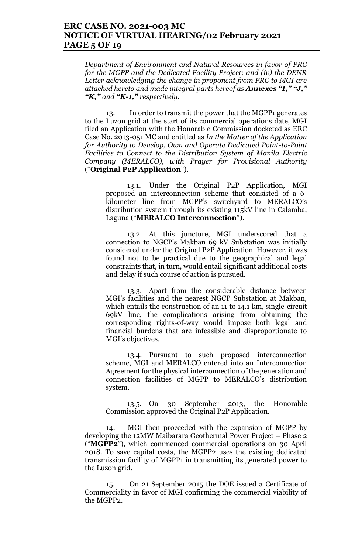### **ERC CASE NO. 2021-003 MC NOTICE OF VIRTUAL HEARING/02 February 2021 PAGE 5 OF 19**

*Department of Environment and Natural Resources in favor of PRC for the MGPP and the Dedicated Facility Project; and (iv) the DENR Letter acknowledging the change in proponent from PRC to MGI are attached hereto and made integral parts hereof as Annexes "I," "J," "K," and "K-1," respectively.*

13. In order to transmit the power that the MGPP1 generates to the Luzon grid at the start of its commercial operations date, MGI filed an Application with the Honorable Commission docketed as ERC Case No. 2013-051 MC and entitled as *In the Matter of the Application for Authority to Develop, Own and Operate Dedicated Point-to-Point Facilities to Connect to the Distribution System of Manila Electric Company (MERALCO), with Prayer for Provisional Authority* ("**Original P2P Application**").

13.1. Under the Original P2P Application, MGI proposed an interconnection scheme that consisted of a 6 kilometer line from MGPP's switchyard to MERALCO's distribution system through its existing 115kV line in Calamba, Laguna ("**MERALCO Interconnection**").

13.2. At this juncture, MGI underscored that a connection to NGCP's Makban 69 kV Substation was initially considered under the Original P2P Application. However, it was found not to be practical due to the geographical and legal constraints that, in turn, would entail significant additional costs and delay if such course of action is pursued.

13.3. Apart from the considerable distance between MGI's facilities and the nearest NGCP Substation at Makban, which entails the construction of an 11 to 14.1 km, single-circuit 69kV line, the complications arising from obtaining the corresponding rights-of-way would impose both legal and financial burdens that are infeasible and disproportionate to MGI's objectives.

13.4. Pursuant to such proposed interconnection scheme, MGI and MERALCO entered into an Interconnection Agreement for the physical interconnection of the generation and connection facilities of MGPP to MERALCO's distribution system.

13.5. On 30 September 2013, the Honorable Commission approved the Original P2P Application.

14. MGI then proceeded with the expansion of MGPP by developing the 12MW Maibarara Geothermal Power Project – Phase 2 ("**MGPP2**"), which commenced commercial operations on 30 April 2018. To save capital costs, the MGPP2 uses the existing dedicated transmission facility of MGPP1 in transmitting its generated power to the Luzon grid.

15. On 21 September 2015 the DOE issued a Certificate of Commerciality in favor of MGI confirming the commercial viability of the MGPP2.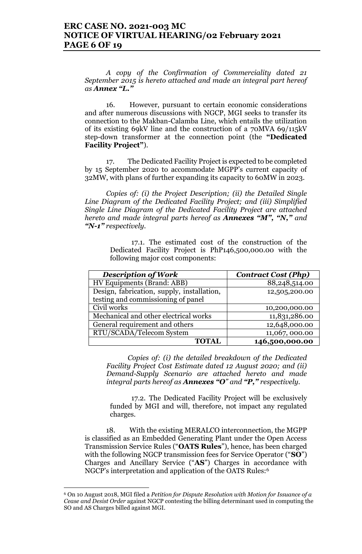*A copy of the Confirmation of Commerciality dated 21 September 2015 is hereto attached and made an integral part hereof as Annex "L."*

16. However, pursuant to certain economic considerations and after numerous discussions with NGCP, MGI seeks to transfer its connection to the Makban-Calamba Line, which entails the utilization of its existing 69kV line and the construction of a 70MVA 69/115kV step-down transformer at the connection point (the **"Dedicated Facility Project"**).

17. The Dedicated Facility Project is expected to be completed by 15 September 2020 to accommodate MGPP's current capacity of 32MW, with plans of further expanding its capacity to 60MW in 2023.

*Copies of: (i) the Project Description; (ii) the Detailed Single Line Diagram of the Dedicated Facility Project; and (iii) Simplified Single Line Diagram of the Dedicated Facility Project are attached hereto and made integral parts hereof as Annexes "M", "N," and "N-1" respectively.* 

> 17.1. The estimated cost of the construction of the Dedicated Facility Project is PhP146,500,000.00 with the following major cost components:

| <b>Description of Work</b>                 | <b>Contract Cost (Php)</b> |
|--------------------------------------------|----------------------------|
| HV Equipments (Brand: ABB)                 | 88,248,514.00              |
| Design, fabrication, supply, installation, | 12,505,200.00              |
| testing and commissioning of panel         |                            |
| Civil works                                | 10,200,000.00              |
| Mechanical and other electrical works      | 11,831,286.00              |
| General requirement and others             | 12,648,000.00              |
| RTU/SCADA/Telecom System                   | 11,067,000.00              |
| <b>TOTAL</b>                               | 146,500,000.00             |

*Copies of: (i) the detailed breakdown of the Dedicated Facility Project Cost Estimate dated 12 August 2020; and (ii) Demand-Supply Scenario are attached hereto and made integral parts hereof as Annexes "O" and "P," respectively.*

17.2. The Dedicated Facility Project will be exclusively funded by MGI and will, therefore, not impact any regulated charges.

18. With the existing MERALCO interconnection, the MGPP is classified as an Embedded Generating Plant under the Open Access Transmission Service Rules ("**OATS Rules**"), hence, has been charged with the following NGCP transmission fees for Service Operator ("**SO**") Charges and Ancillary Service ("**AS**") Charges in accordance with NGCP's interpretation and application of the OATS Rules:<sup>6</sup>

<sup>6</sup> On 10 August 2018, MGI filed a *Petition for Dispute Resolution with Motion for Issuance of a Cease and Desist Order* against NGCP contesting the billing determinant used in computing the SO and AS Charges billed against MGI.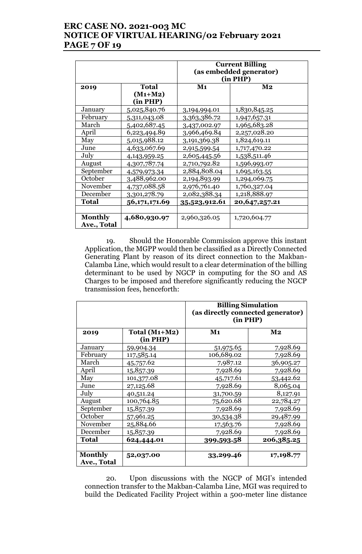# **ERC CASE NO. 2021-003 MC NOTICE OF VIRTUAL HEARING/02 February 2021 PAGE 7 OF 19**

|                |                 | <b>Current Billing</b><br>(as embedded generator)<br>(in PHP) |               |
|----------------|-----------------|---------------------------------------------------------------|---------------|
| 2019           | <b>Total</b>    | $\mathbf{M}$ 1                                                | $\bf M2$      |
|                | $(M1+M2)$       |                                                               |               |
|                | (in PHP)        |                                                               |               |
| January        | 5,025,840.76    | 3,194,994.01                                                  | 1,830,845.25  |
| February       | 5,311,043.08    | 3,363,386.72                                                  | 1,947,657.31  |
| March          | 5,402,687.45    | 3,437,002.97                                                  | 1,965,683.28  |
| April          | 6,223,494.89    | 3,966,469.84                                                  | 2,257,028.20  |
| May            | 5,015,988.12    | 3,191,369.38                                                  | 1,824,619.11  |
| June           | 4,633,067.69    | 2,915,599.54                                                  | 1,717,470.22  |
| July           | 4,143,959.25    | 2,605,445.56                                                  | 1,538,511.46  |
| August         | 4,307,787.74    | 2,710,792.82                                                  | 1,596,993.07  |
| September      | 4,579,973.34    | 2,884,808.04                                                  | 1,695,163.55  |
| October        | 3,488,962.00    | 2,194,893.99                                                  | 1,294,069.75  |
| November       | 4,737,088.58    | 2,976,761.40                                                  | 1,760,327.04  |
| December       | 3,301,278.79    | 2,082,388.34                                                  | 1,218,888.97  |
| Total          | 56, 171, 171.69 | 35,523,912.61                                                 | 20,647,257.21 |
|                |                 |                                                               |               |
| <b>Monthly</b> | 4,680,930.97    | 2,960,326.05                                                  | 1,720,604.77  |
| Ave., Total    |                 |                                                               |               |

19. Should the Honorable Commission approve this instant Application, the MGPP would then be classified as a Directly Connected Generating Plant by reason of its direct connection to the Makban-Calamba Line, which would result to a clear determination of the billing determinant to be used by NGCP in computing for the SO and AS Charges to be imposed and therefore significantly reducing the NGCP transmission fees, henceforth:

|                               |                             | <b>Billing Simulation</b><br>(as directly connected generator)<br>(in PHP) |               |
|-------------------------------|-----------------------------|----------------------------------------------------------------------------|---------------|
| 2019                          | Total $(M1+M2)$<br>(in PHP) | M <sub>1</sub>                                                             | $\mathbf{M2}$ |
| January                       | 59,904.34                   | 51,975.65                                                                  | 7,928.69      |
| February                      | 117,585.14                  | 106,689.02                                                                 | 7,928.69      |
| March                         | 45,757.62                   | 7,987.12                                                                   | 36,905.27     |
| April                         | 15,857.39                   | 7,928.69                                                                   | 7,928.69      |
| May                           | 101,377.08                  | 45,717.61                                                                  | 53,442.62     |
| June                          | 27,125.68                   | 7,928.69                                                                   | 8,065.04      |
| July                          | 40,511.24                   | 31,700.59                                                                  | 8,127.91      |
| August                        | 100,764.85                  | 75,620.68                                                                  | 22,784.27     |
| September                     | 15,857.39                   | 7,928.69                                                                   | 7,928.69      |
| October                       | 57,961.25                   | 30,534.38                                                                  | 29,487.99     |
| November                      | 25,884.66                   | 17,563.76                                                                  | 7,928.69      |
| December                      | 15,857.39                   | 7,928.69                                                                   | 7,928.69      |
| Total                         | 624,444.01                  | 399,593.58                                                                 | 206,385.25    |
| <b>Monthly</b><br>Ave., Total | 52,037.00                   | 33,299.46                                                                  | 17,198.77     |

20. Upon discussions with the NGCP of MGI's intended connection transfer to the Makban-Calamba Line, MGI was required to build the Dedicated Facility Project within a 500-meter line distance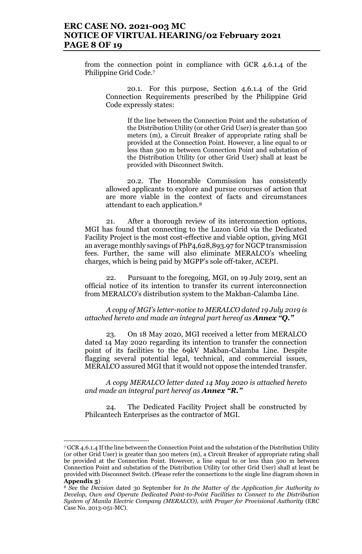### **ERC CASE NO. 2021-003 MC NOTICE OF VIRTUAL HEARING/02 February 2021 PAGE 8 OF 19**

from the connection point in compliance with GCR 4.6.1.4 of the Philippine Grid Code.<sup>7</sup>

20.1. For this purpose, Section 4.6.1.4 of the Grid Connection Requirements prescribed by the Philippine Grid Code expressly states:

> If the line between the Connection Point and the substation of the Distribution Utility (or other Grid User) is greater than 500 meters (m), a Circuit Breaker of appropriate rating shall be provided at the Connection Point. However, a line equal to or less than 500 m between Connection Point and substation of the Distribution Utility (or other Grid User) shall at least be provided with Disconnect Switch.

20.2. The Honorable Commission has consistently allowed applicants to explore and pursue courses of action that are more viable in the context of facts and circumstances attendant to each application.<sup>8</sup>

21. After a thorough review of its interconnection options, MGI has found that connecting to the Luzon Grid via the Dedicated Facility Project is the most cost-effective and viable option, giving MGI an average monthly savings of PhP4,628,893.97 for NGCP transmission fees. Further, the same will also eliminate MERALCO's wheeling charges, which is being paid by MGPP's sole off-taker, ACEPI.

22. Pursuant to the foregoing, MGI, on 19 July 2019, sent an official notice of its intention to transfer its current interconnection from MERALCO's distribution system to the Makban-Calamba Line.

*A copy of MGI's letter-notice to MERALCO dated 19 July 2019 is attached hereto and made an integral part hereof as Annex "Q."*

23. On 18 May 2020, MGI received a letter from MERALCO dated 14 May 2020 regarding its intention to transfer the connection point of its facilities to the 69kV Makban-Calamba Line. Despite flagging several potential legal, technical, and commercial issues, MERALCO assured MGI that it would not oppose the intended transfer.

*A copy MERALCO letter dated 14 May 2020 is attached hereto and made an integral part hereof as Annex "R."*

24. The Dedicated Facility Project shall be constructed by Philcantech Enterprises as the contractor of MGI.

<sup>7</sup> GCR 4.6.1.4 If the line between the Connection Point and the substation of the Distribution Utility (or other Grid User) is greater than 500 meters (m), a Circuit Breaker of appropriate rating shall be provided at the Connection Point. However, a line equal to or less than 500 m between Connection Point and substation of the Distribution Utility (or other Grid User) shall at least be provided with Disconnect Switch. (Please refer the connections to the single line diagram shown in **Appendix 5**)

<sup>8</sup> *See* the *Decision* dated 30 September for *In the Matter of the Application for Authority to Develop, Own and Operate Dedicated Point-to-Point Facilities to Connect to the Distribution System of Manila Electric Company (MERALCO), with Prayer for Provisional Authority* (ERC Case No. 2013-051-MC).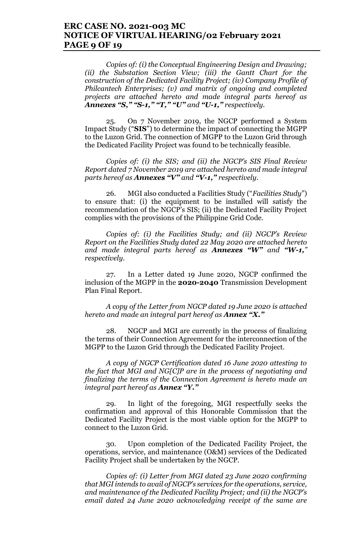### **ERC CASE NO. 2021-003 MC NOTICE OF VIRTUAL HEARING/02 February 2021 PAGE 9 OF 19**

*Copies of: (i) the Conceptual Engineering Design and Drawing; (ii) the Substation Section View; (iii) the Gantt Chart for the construction of the Dedicated Facility Project; (iv) Company Profile of Philcantech Enterprises; (v) and matrix of ongoing and completed projects are attached hereto and made integral parts hereof as Annexes "S," "S-1," "T," "U" and "U-1," respectively.*

25. On 7 November 2019, the NGCP performed a System Impact Study ("**SIS**") to determine the impact of connecting the MGPP to the Luzon Grid. The connection of MGPP to the Luzon Grid through the Dedicated Facility Project was found to be technically feasible.

*Copies of: (i) the SIS; and (ii) the NGCP's SIS Final Review Report dated 7 November 2019 are attached hereto and made integral parts hereof as Annexes "V" and "V-1," respectively.* 

26. MGI also conducted a Facilities Study ("*Facilities Study*") to ensure that: (i) the equipment to be installed will satisfy the recommendation of the NGCP's SIS; (ii) the Dedicated Facility Project complies with the provisions of the Philippine Grid Code.

*Copies of: (i) the Facilities Study; and (ii) NGCP's Review Report on the Facilities Study dated 22 May 2020 are attached hereto and made integral parts hereof as Annexes "W" and "W-1," respectively.* 

27. In a Letter dated 19 June 2020, NGCP confirmed the inclusion of the MGPP in the **2020-2040** Transmission Development Plan Final Report.

*A copy of the Letter from NGCP dated 19 June 2020 is attached hereto and made an integral part hereof as Annex "X."*

28. NGCP and MGI are currently in the process of finalizing the terms of their Connection Agreement for the interconnection of the MGPP to the Luzon Grid through the Dedicated Facility Project.

*A copy of NGCP Certification dated 16 June 2020 attesting to the fact that MGI and NG[C]P are in the process of negotiating and finalizing the terms of the Connection Agreement is hereto made an integral part hereof as Annex "Y."*

29. In light of the foregoing, MGI respectfully seeks the confirmation and approval of this Honorable Commission that the Dedicated Facility Project is the most viable option for the MGPP to connect to the Luzon Grid.

30. Upon completion of the Dedicated Facility Project, the operations, service, and maintenance (O&M) services of the Dedicated Facility Project shall be undertaken by the NGCP.

*Copies of: (i) Letter from MGI dated 23 June 2020 confirming that MGI intends to avail of NGCP's services for the operations, service, and maintenance of the Dedicated Facility Project; and (ii) the NGCP's email dated 24 June 2020 acknowledging receipt of the same are*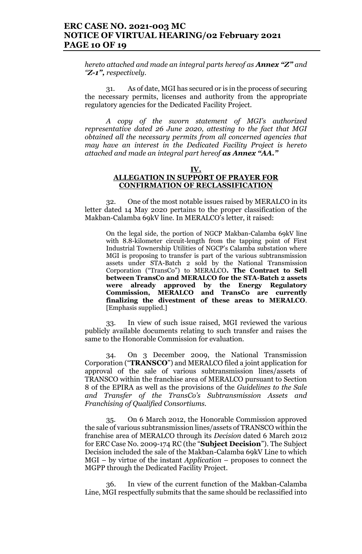### **ERC CASE NO. 2021-003 MC NOTICE OF VIRTUAL HEARING/02 February 2021 PAGE 10 OF 19**

*hereto attached and made an integral parts hereof as Annex "Z" and "Z-1", respectively.* 

31. As of date, MGI has secured or is in the process of securing the necessary permits, licenses and authority from the appropriate regulatory agencies for the Dedicated Facility Project.

*A copy of the sworn statement of MGI's authorized representative dated 26 June 2020, attesting to the fact that MGI obtained all the necessary permits from all concerned agencies that may have an interest in the Dedicated Facility Project is hereto attached and made an integral part hereof as Annex "AA."*

#### **IV. ALLEGATION IN SUPPORT OF PRAYER FOR CONFIRMATION OF RECLASSIFICATION**

32. One of the most notable issues raised by MERALCO in its letter dated 14 May 2020 pertains to the proper classification of the Makban-Calamba 69kV line. In MERALCO's letter, it raised:

On the legal side, the portion of NGCP Makban-Calamba 69kV line with 8.8-kilometer circuit-length from the tapping point of First Industrial Townership Utilities of NGCP's Calamba substation where MGI is proposing to transfer is part of the various subtransmission assets under STA-Batch 2 sold by the National Transmission Corporation ("TransCo") to MERALCO**. The Contract to Sell between TransCo and MERALCO for the STA-Batch 2 assets were already approved by the Energy Regulatory Commission, MERALCO and TransCo are currently finalizing the divestment of these areas to MERALCO**. [Emphasis supplied.]

33. In view of such issue raised, MGI reviewed the various publicly available documents relating to such transfer and raises the same to the Honorable Commission for evaluation.

34. On 3 December 2009, the National Transmission Corporation ("**TRANSCO**") and MERALCO filed a joint application for approval of the sale of various subtransmission lines/assets of TRANSCO within the franchise area of MERALCO pursuant to Section 8 of the EPIRA as well as the provisions of the *Guidelines to the Sale and Transfer of the TransCo's Subtransmission Assets and Franchising of Qualified Consortiums.* 

35. On 6 March 2012, the Honorable Commission approved the sale of various subtransmission lines/assets of TRANSCO within the franchise area of MERALCO through its *Decision* dated 6 March 2012 for ERC Case No. 2009-174 RC (the "**Subject Decision**"). The Subject Decision included the sale of the Makban-Calamba 69kV Line to which MGI – by virtue of the instant *Application* – proposes to connect the MGPP through the Dedicated Facility Project.

36. In view of the current function of the Makban-Calamba Line, MGI respectfully submits that the same should be reclassified into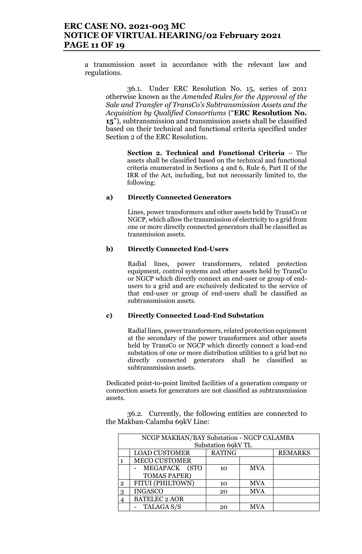## **ERC CASE NO. 2021-003 MC NOTICE OF VIRTUAL HEARING/02 February 2021 PAGE 11 OF 19**

a transmission asset in accordance with the relevant law and regulations.

36.1. Under ERC Resolution No. 15, series of 2011 otherwise known as the *Amended Rules for the Approval of the Sale and Transfer of TransCo's Subtransmission Assets and the Acquisition by Qualified Consortiums* ("**ERC Resolution No. 15**"), subtransmission and transmission assets shall be classified based on their technical and functional criteria specified under Section 2 of the ERC Resolution.

> **Section 2. Technical and Functional Criteria** – The assets shall be classified based on the technical and functional criteria enumerated in Sections 4 and 6, Rule 6, Part II of the IRR of the Act, including, but not necessarily limited to, the following:

#### **a) Directly Connected Generators**

Lines, power transformers and other assets held by TransCo or NGCP, which allow the transmission of electricity to a grid from one or more directly connected generators shall be classified as transmission assets.

#### **b) Directly Connected End-Users**

Radial lines, power transformers, related protection equipment, control systems and other assets held by TransCo or NGCP which directly connect an end-user or group of endusers to a grid and are exclusively dedicated to the service of that end-user or group of end-users shall be classified as subtransmission assets.

#### **c) Directly Connected Load-End Substation**

Radial lines, power transformers, related protection equipment at the secondary of the power transformers and other assets held by TransCo or NGCP which directly connect a load-end substation of one or more distribution utilities to a grid but no directly connected generators shall be classified as subtransmission assets.

Dedicated point-to-point limited facilities of a generation company or connection assets for generators are not classified as subtransmission assets.

36.2. Currently, the following entities are connected to the Makban-Calamba 69kV Line:

|                | NCGP MAKBAN/BAY Substation - NGCP CALAMBA |               |            |                |  |
|----------------|-------------------------------------------|---------------|------------|----------------|--|
|                | Substation 69kV TL                        |               |            |                |  |
|                | <b>LOAD CUSTOMER</b>                      | <b>RATING</b> |            | <b>REMARKS</b> |  |
|                | <b>MECO CUSTOMER</b>                      |               |            |                |  |
|                | MEGAPACK (STO                             | 10            | <b>MVA</b> |                |  |
|                | <b>TOMAS PAPER)</b>                       |               |            |                |  |
| $\overline{2}$ | FITUI (PHILTOWN)                          | 10            | <b>MVA</b> |                |  |
| 3              | <b>INGASCO</b>                            | 20            | <b>MVA</b> |                |  |
|                | <b>BATELEC 2 AOR</b>                      |               |            |                |  |
|                | TALAGA S/S                                | 20            | <b>MVA</b> |                |  |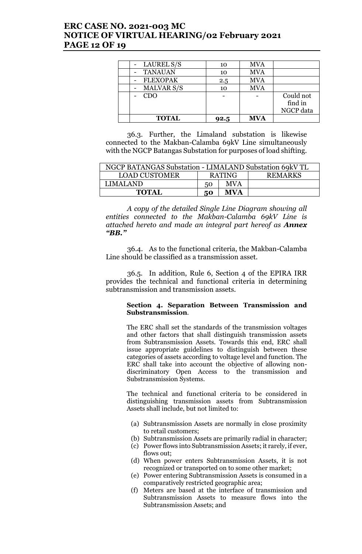## **ERC CASE NO. 2021-003 MC NOTICE OF VIRTUAL HEARING/02 February 2021 PAGE 12 OF 19**

| <b>TOTAL</b>      | 92.5 | <b>MVA</b> |           |
|-------------------|------|------------|-----------|
|                   |      |            | NGCP data |
|                   |      |            | find in   |
| <b>CDO</b>        |      |            | Could not |
| <b>MALVAR S/S</b> | 10   | <b>MVA</b> |           |
| <b>FLEXOPAK</b>   | 2.5  | <b>MVA</b> |           |
| <b>TANAUAN</b>    | 10   | <b>MVA</b> |           |
| LAUREL S/S        | 10   | <b>MVA</b> |           |
|                   |      |            |           |

36.3. Further, the Limaland substation is likewise connected to the Makban-Calamba 69kV Line simultaneously with the NGCP Batangas Substation for purposes of load shifting.

| NGCP BATANGAS Substation - LIMALAND Substation 69kV TL |                                 |            |  |
|--------------------------------------------------------|---------------------------------|------------|--|
| <b>LOAD CUSTOMER</b>                                   | <b>RATING</b><br><b>REMARKS</b> |            |  |
| LIMALAND.                                              | 50                              | <b>MVA</b> |  |
| <b>TOTAL</b><br><b>MVA</b><br>50                       |                                 |            |  |

*A copy of the detailed Single Line Diagram showing all entities connected to the Makban-Calamba 69kV Line is attached hereto and made an integral part hereof as Annex "BB."*

36.4. As to the functional criteria, the Makban-Calamba Line should be classified as a transmission asset.

36.5. In addition, Rule 6, Section 4 of the EPIRA IRR provides the technical and functional criteria in determining subtransmission and transmission assets.

#### **Section 4. Separation Between Transmission and Substransmission**.

The ERC shall set the standards of the transmission voltages and other factors that shall distinguish transmission assets from Subtransmission Assets. Towards this end, ERC shall issue appropriate guidelines to distinguish between these categories of assets according to voltage level and function. The ERC shall take into account the objective of allowing nondiscriminatory Open Access to the transmission and Substransmission Systems.

The technical and functional criteria to be considered in distinguishing transmission assets from Subtransmission Assets shall include, but not limited to:

- (a) Subtransmission Assets are normally in close proximity to retail customers;
- (b) Subtransmission Assets are primarily radial in character;
- (c) Power flows into Subtransmission Assets; it rarely, if ever, flows out;
- (d) When power enters Subtransmission Assets, it is not recognized or transported on to some other market;
- (e) Power entering Subtransmission Assets is consumed in a comparatively restricted geographic area;
- (f) Meters are based at the interface of transmission and Subtransmission Assets to measure flows into the Subtransmission Assets; and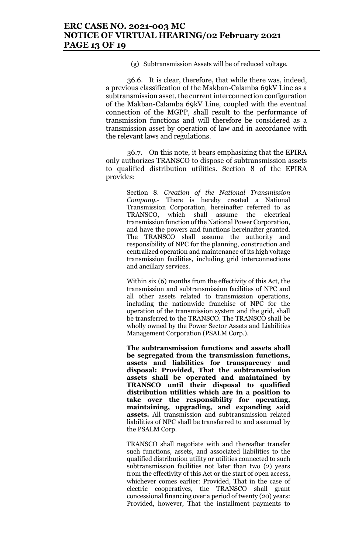(g) Subtransmission Assets will be of reduced voltage.

36.6. It is clear, therefore, that while there was, indeed, a previous classification of the Makban-Calamba 69kV Line as a subtransmission asset, the current interconnection configuration of the Makban-Calamba 69kV Line, coupled with the eventual connection of the MGPP, shall result to the performance of transmission functions and will therefore be considered as a transmission asset by operation of law and in accordance with the relevant laws and regulations.

36.7. On this note, it bears emphasizing that the EPIRA only authorizes TRANSCO to dispose of subtransmission assets to qualified distribution utilities. Section 8 of the EPIRA provides:

> Section 8. *Creation of the National Transmission Company.-* There is hereby created a National Transmission Corporation, hereinafter referred to as TRANSCO, which shall assume the electrical transmission function of the National Power Corporation, and have the powers and functions hereinafter granted. The TRANSCO shall assume the authority and responsibility of NPC for the planning, construction and centralized operation and maintenance of its high voltage transmission facilities, including grid interconnections and ancillary services.

> Within six (6) months from the effectivity of this Act, the transmission and subtransmission facilities of NPC and all other assets related to transmission operations, including the nationwide franchise of NPC for the operation of the transmission system and the grid, shall be transferred to the TRANSCO. The TRANSCO shall be wholly owned by the Power Sector Assets and Liabilities Management Corporation (PSALM Corp.).

> **The subtransmission functions and assets shall be segregated from the transmission functions, assets and liabilities for transparency and disposal: Provided, That the subtransmission assets shall be operated and maintained by TRANSCO until their disposal to qualified distribution utilities which are in a position to take over the responsibility for operating, maintaining, upgrading, and expanding said assets.** All transmission and subtransmission related liabilities of NPC shall be transferred to and assumed by the PSALM Corp.

> TRANSCO shall negotiate with and thereafter transfer such functions, assets, and associated liabilities to the qualified distribution utility or utilities connected to such subtransmission facilities not later than two (2) years from the effectivity of this Act or the start of open access, whichever comes earlier: Provided, That in the case of electric cooperatives, the TRANSCO shall grant concessional financing over a period of twenty (20) years: Provided, however, That the installment payments to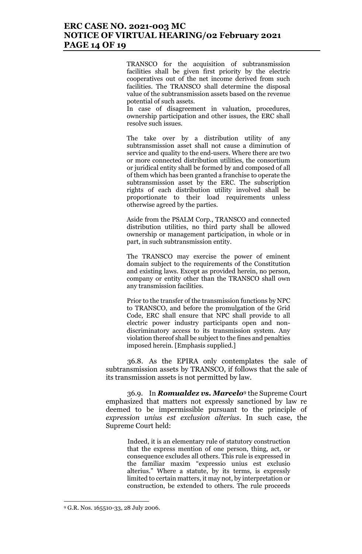## **ERC CASE NO. 2021-003 MC NOTICE OF VIRTUAL HEARING/02 February 2021 PAGE 14 OF 19**

TRANSCO for the acquisition of subtransmission facilities shall be given first priority by the electric cooperatives out of the net income derived from such facilities. The TRANSCO shall determine the disposal value of the subtransmission assets based on the revenue potential of such assets.

In case of disagreement in valuation, procedures, ownership participation and other issues, the ERC shall resolve such issues.

The take over by a distribution utility of any subtransmission asset shall not cause a diminution of service and quality to the end-users. Where there are two or more connected distribution utilities, the consortium or juridical entity shall be formed by and composed of all of them which has been granted a franchise to operate the subtransmission asset by the ERC. The subscription rights of each distribution utility involved shall be proportionate to their load requirements unless otherwise agreed by the parties.

Aside from the PSALM Corp., TRANSCO and connected distribution utilities, no third party shall be allowed ownership or management participation, in whole or in part, in such subtransmission entity.

The TRANSCO may exercise the power of eminent domain subject to the requirements of the Constitution and existing laws. Except as provided herein, no person, company or entity other than the TRANSCO shall own any transmission facilities.

Prior to the transfer of the transmission functions by NPC to TRANSCO, and before the promulgation of the Grid Code, ERC shall ensure that NPC shall provide to all electric power industry participants open and nondiscriminatory access to its transmission system. Any violation thereof shall be subject to the fines and penalties imposed herein. [Emphasis supplied.]

36.8. As the EPIRA only contemplates the sale of subtransmission assets by TRANSCO, if follows that the sale of its transmission assets is not permitted by law.

36.9. In *Romualdez vs. Marcelo*<sup>9</sup> the Supreme Court emphasized that matters not expressly sanctioned by law re deemed to be impermissible pursuant to the principle of *expression unius est exclusion alterius*. In such case, the Supreme Court held:

> Indeed, it is an elementary rule of statutory construction that the express mention of one person, thing, act, or consequence excludes all others. This rule is expressed in the familiar maxim "expressio unius est exclusio alterius." Where a statute, by its terms, is expressly limited to certain matters, it may not, by interpretation or construction, be extended to others. The rule proceeds

<sup>9</sup> G.R. Nos. 165510-33, 28 July 2006.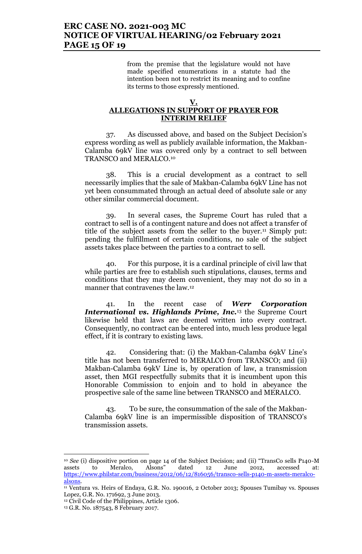## **ERC CASE NO. 2021-003 MC NOTICE OF VIRTUAL HEARING/02 February 2021 PAGE 15 OF 19**

from the premise that the legislature would not have made specified enumerations in a statute had the intention been not to restrict its meaning and to confine its terms to those expressly mentioned.

#### **V. ALLEGATIONS IN SUPPORT OF PRAYER FOR INTERIM RELIEF**

37. As discussed above, and based on the Subject Decision's express wording as well as publicly available information, the Makban-Calamba 69kV line was covered only by a contract to sell between TRANSCO and MERALCO.<sup>10</sup>

38. This is a crucial development as a contract to sell necessarily implies that the sale of Makban-Calamba 69kV Line has not yet been consummated through an actual deed of absolute sale or any other similar commercial document.

39. In several cases, the Supreme Court has ruled that a contract to sell is of a contingent nature and does not affect a transfer of title of the subject assets from the seller to the buyer.<sup>11</sup> Simply put: pending the fulfillment of certain conditions, no sale of the subject assets takes place between the parties to a contract to sell.

40. For this purpose, it is a cardinal principle of civil law that while parties are free to establish such stipulations, clauses, terms and conditions that they may deem convenient, they may not do so in a manner that contravenes the law.<sup>12</sup>

41. In the recent case of *Werr Corporation International vs. Highlands Prime, Inc.*<sup>13</sup> the Supreme Court likewise held that laws are deemed written into every contract. Consequently, no contract can be entered into, much less produce legal effect, if it is contrary to existing laws.

42. Considering that: (i) the Makban-Calamba 69kV Line's title has not been transferred to MERALCO from TRANSCO; and (ii) Makban-Calamba 69kV Line is, by operation of law, a transmission asset, then MGI respectfully submits that it is incumbent upon this Honorable Commission to enjoin and to hold in abeyance the prospective sale of the same line between TRANSCO and MERALCO.

43. To be sure, the consummation of the sale of the Makban-Calamba 69kV line is an impermissible disposition of TRANSCO's transmission assets.

<sup>10</sup> *See* (i) dispositive portion on page 14 of the Subject Decision; and (ii) "TransCo sells P140-M assets to Meralco, Alsons" dated 12 June 2012, accessed at: https://www.philstar.com/business/2012/06/12/816056/transco-sells-p140-m-assets-meralcoalsons.

<sup>11</sup> Ventura vs. Heirs of Endaya, G.R. No. 190016, 2 October 2013; Spouses Tumibay vs. Spouses Lopez, G.R. No. 171692, 3 June 2013.

<sup>12</sup> Civil Code of the Philippines, Article 1306.

<sup>13</sup> G.R. No. 187543, 8 February 2017.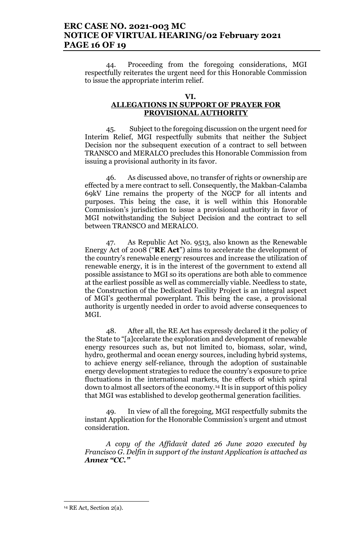### **ERC CASE NO. 2021-003 MC NOTICE OF VIRTUAL HEARING/02 February 2021 PAGE 16 OF 19**

44. Proceeding from the foregoing considerations, MGI respectfully reiterates the urgent need for this Honorable Commission to issue the appropriate interim relief.

#### **VI.**

### **ALLEGATIONS IN SUPPORT OF PRAYER FOR PROVISIONAL AUTHORITY**

45. Subject to the foregoing discussion on the urgent need for Interim Relief, MGI respectfully submits that neither the Subject Decision nor the subsequent execution of a contract to sell between TRANSCO and MERALCO precludes this Honorable Commission from issuing a provisional authority in its favor.

46. As discussed above, no transfer of rights or ownership are effected by a mere contract to sell. Consequently, the Makban-Calamba 69kV Line remains the property of the NGCP for all intents and purposes. This being the case, it is well within this Honorable Commission's jurisdiction to issue a provisional authority in favor of MGI notwithstanding the Subject Decision and the contract to sell between TRANSCO and MERALCO.

47. As Republic Act No. 9513, also known as the Renewable Energy Act of 2008 ("**RE Act**") aims to accelerate the development of the country's renewable energy resources and increase the utilization of renewable energy, it is in the interest of the government to extend all possible assistance to MGI so its operations are both able to commence at the earliest possible as well as commercially viable. Needless to state, the Construction of the Dedicated Facility Project is an integral aspect of MGI's geothermal powerplant. This being the case, a provisional authority is urgently needed in order to avoid adverse consequences to MGI.

48. After all, the RE Act has expressly declared it the policy of the State to "[a]ccelarate the exploration and development of renewable energy resources such as, but not limited to, biomass, solar, wind, hydro, geothermal and ocean energy sources, including hybrid systems, to achieve energy self-reliance, through the adoption of sustainable energy development strategies to reduce the country's exposure to price fluctuations in the international markets, the effects of which spiral down to almost all sectors of the economy.<sup>14</sup> It is in support of this policy that MGI was established to develop geothermal generation facilities.

49. In view of all the foregoing, MGI respectfully submits the instant Application for the Honorable Commission's urgent and utmost consideration.

*A copy of the Affidavit dated 26 June 2020 executed by Francisco G. Delfin in support of the instant Application is attached as Annex "CC."*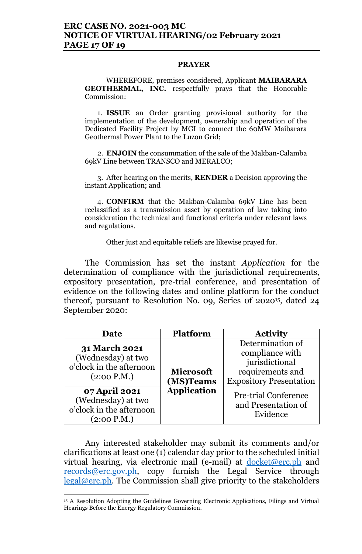#### **PRAYER**

WHEREFORE, premises considered, Applicant **MAIBARARA GEOTHERMAL, INC.** respectfully prays that the Honorable Commission:

1. **ISSUE** an Order granting provisional authority for the implementation of the development, ownership and operation of the Dedicated Facility Project by MGI to connect the 60MW Maibarara Geothermal Power Plant to the Luzon Grid;

2. **ENJOIN** the consummation of the sale of the Makban-Calamba 69kV Line between TRANSCO and MERALCO;

3. After hearing on the merits, **RENDER** a Decision approving the instant Application; and

4. **CONFIRM** that the Makban-Calamba 69kV Line has been reclassified as a transmission asset by operation of law taking into consideration the technical and functional criteria under relevant laws and regulations.

Other just and equitable reliefs are likewise prayed for.

The Commission has set the instant *Application* for the determination of compliance with the jurisdictional requirements, expository presentation, pre-trial conference, and presentation of evidence on the following dates and online platform for the conduct thereof, pursuant to Resolution No. 09, Series 0f 202015, dated 24 September 2020:

| Date                                                                                  | <b>Platform</b>                                     | <b>Activity</b>                                                                                             |
|---------------------------------------------------------------------------------------|-----------------------------------------------------|-------------------------------------------------------------------------------------------------------------|
| <b>31 March 2021</b><br>(Wednesday) at two<br>o'clock in the afternoon<br>(2:00 P.M.) | <b>Microsoft</b><br>(MS)Teams<br><b>Application</b> | Determination of<br>compliance with<br>jurisdictional<br>requirements and<br><b>Expository Presentation</b> |
| 07 April 2021<br>(Wednesday) at two<br>o'clock in the afternoon<br>(2:00 P.M.)        |                                                     | <b>Pre-trial Conference</b><br>and Presentation of<br>Evidence                                              |

Any interested stakeholder may submit its comments and/or clarifications at least one (1) calendar day prior to the scheduled initial virtual hearing, via electronic mail (e-mail) at <u>docket@erc.ph</u> and records@erc.gov.ph, copy furnish the Legal Service through legal@erc.ph. The Commission shall give priority to the stakeholders

<sup>&</sup>lt;sup>15</sup> A Resolution Adopting the Guidelines Governing Electronic Applications, Filings and Virtual Hearings Before the Energy Regulatory Commission.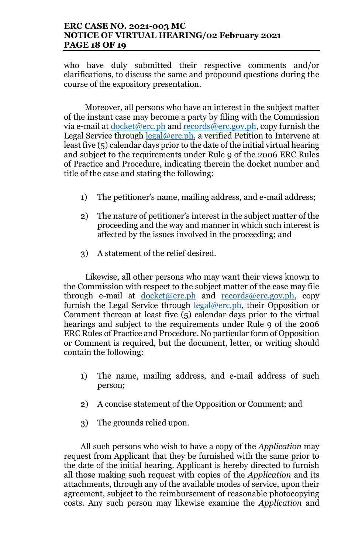# **ERC CASE NO. 2021-003 MC NOTICE OF VIRTUAL HEARING/02 February 2021 PAGE 18 OF 19**

who have duly submitted their respective comments and/or clarifications, to discuss the same and propound questions during the course of the expository presentation.

Moreover, all persons who have an interest in the subject matter of the instant case may become a party by filing with the Commission via e-mail at  $d$  ocket@erc.ph and records@erc.gov.ph, copy furnish the Legal Service through  $\text{legal@erc.ph}$ , a verified Petition to Intervene at least five (5) calendar days prior to the date of the initial virtual hearing and subject to the requirements under Rule 9 of the 2006 ERC Rules of Practice and Procedure, indicating therein the docket number and title of the case and stating the following:

- 1) The petitioner's name, mailing address, and e-mail address;
- 2) The nature of petitioner's interest in the subject matter of the proceeding and the way and manner in which such interest is affected by the issues involved in the proceeding; and
- 3) A statement of the relief desired.

Likewise, all other persons who may want their views known to the Commission with respect to the subject matter of the case may file through e-mail at docket@erc.ph and records@erc.gov.ph, copy furnish the Legal Service through legal@erc.ph, their Opposition or Comment thereon at least five (5) calendar days prior to the virtual hearings and subject to the requirements under Rule 9 of the 2006 ERC Rules of Practice and Procedure. No particular form of Opposition or Comment is required, but the document, letter, or writing should contain the following:

- 1) The name, mailing address, and e-mail address of such person;
- 2) A concise statement of the Opposition or Comment; and
- 3) The grounds relied upon.

All such persons who wish to have a copy of the *Application* may request from Applicant that they be furnished with the same prior to the date of the initial hearing. Applicant is hereby directed to furnish all those making such request with copies of the *Application* and its attachments, through any of the available modes of service, upon their agreement, subject to the reimbursement of reasonable photocopying costs. Any such person may likewise examine the *Application* and